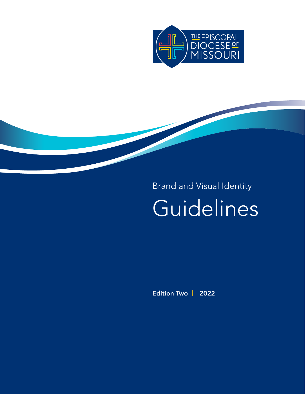

# Brand and Visual Identity Guidelines

Edition Two | 2022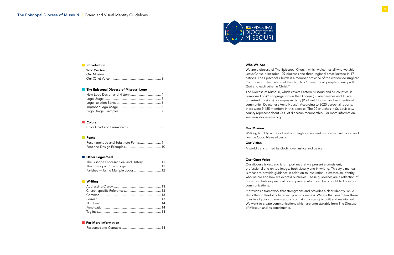

## **Introduction**

#### Who We Are

We are a diocese of The Episcopal Church, which welcomes all who worship Jesus Christ. It includes 109 dioceses and three regional areas located in 17 nations. The Episcopal Church is a member province of the worldwide Anglican Communion. The mission of the church is "to restore all people to unity with God and each other in Christ."

The Diocese of Missouri, which covers Eastern Missouri and 54 counties, is composed of 42 congregations in the Diocese (30 are parishes and 12 are organized missions), a campus ministry (Rockwell House), and an intentional community (Deaconess Anne House). According to 2020 parochial reports, there were 9,455 members in this diocese. The 20 churches in St. Louis city/ county represent about 74% of diocesan membership. For more information, see www.diocesemo.org.

# Our Mission

Walking humbly with God and our neighbor, we seek justice, act with love, and

live the Good News of Jesus.

#### Our Vision:

A world transformed by God's love, justice and peace.

# Our (One) Voice

Our diocese is vast and it is important that we present a consistent, professional and united image, both visually and in writing. This style manual is meant to provide guidance in addition to inspiration. It creates an identity – who we are and how we express ourselves. These guidelines are a reflection of our strong history, personality and passion which can be brought to life in our communications.

It provides a framework that strengthens and provides a clear identity, while also offering flexibility to reflect your uniqueness. We ask that you follow these rules in all your communications, so that consistency is built and maintained. We want to create communications which are unmistakably from The Diocese of Missouri and its constituents.

# **The Episcopal Diocese of Missouri Logo**

# **Colors**

|--|--|

# **Fonts**

## **Other Logos/Seal**

| The Bishop's Diocesan Seal and History 11 |  |
|-------------------------------------------|--|
|                                           |  |
|                                           |  |

#### **N** Writing

#### **For More Information**

Resources and Contacts ............................................ 14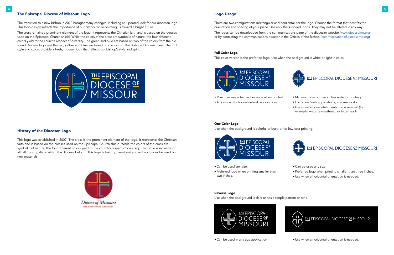# The Episcopal Diocese of Missouri Logo

The transition to a new bishop in 2020 brought many changes, including an updated look for our diocesan logo. This logo design reflects the importance of our history, while pointing us toward a bright future.

- There are two configurations (rectangular and horizontal) for the logo. Choose the format that best fits the
- The logos can be downloaded from the communications page of the diocesan website ([www.diocesemo.org\)](http://www.diocesemo.org) or by contacting the communications director in the Offices of the Bishop ([communications@diocesemo.org](mailto:communications%40diocesemo.org?subject=)).



The cross remains a prominent element of the logo. It represents the Christian faith and is based on the crosses used on the Episcopal Church shield. While the colors of the cross are symbolic of nature, the four different colors yield to the church's respect of diversity. The green and blue are based on two of the colors from the old round Diocese logo and the red, yellow and blue are based on colors from the Bishop's Diocesan Seal. The font style and colors provide a fresh, modern look that reflects our bishop's style and spirit



# Logo Usage

orientation and spacing of your piece. Use only the supplied logos. They may not be altered in any way.

# Full Color Logo

This color version is the preferred logo. Use when the background is white or light in color.







• Minimum size is two inches wide when printed.

• Any size works for online/web applications.

# History of the Diocesan Logo

This logo was established in 2007. The cross is the prominent element of the logo. It represents the Christian faith and is based on the crosses used on the Episcopal Church shield. While the colors of the cross are symbolic of nature, the four different colors yield to the church's respect of diversity. The circle is inclusive of all; all Episcopalians within the diocese belong. This logo is being phased out and will no longer be used on new materials.



#### One Color Logo

Use when the background is colorful or busy, or for low-cost printing.



- Can be used any size.
- Preferred logo when printing smaller than two inches.
- Can be used any size.
- Preferred logo when printing smaller than three inches.
- Use when a horizontal orientation is needed.

#### Reverse Logo

Use when the background is dark or has a simple pattern or tone.

• Can be used in any size application • Use when a horizontal orientation is needed.

- Minimum size is three inches wide for printing.
- For online/web applications, any size works.
- Use when a horizontal orientation is needed (for example, website masthead, or letterhead).

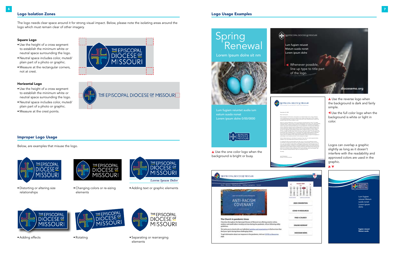# Improper Logo Usage

Below, are examples that misuse the logo.



# Spring Renewal





Lum fugiam reiuntet audia ium eatum susda nonet Lorem ipsum dolre 0/00/0000



▲ Use the reverse logo when the background is dark and fairly simple.



Churches throughout the Episonpal Discous of Mosmuti are offering creative online outdoor and small indoor worship services during the pandemic. All are following safety guideline

We invite you to check with our individual parishes and reparaintings to find services that find your spirit during these challenging times

To get information about our response to the pandemic, slait our COVID-12 Resources mer

▲ Use the one color logo when the background is bright or busy.

# Logo Usage Examples

 Use the full color logo when the background is white or light in color.

Logos can overlap a graphic slightly as long as it doesn't interfere with the readability and approved colors are used in the graphic.



# 1210 Locust Street | St. Louis, MO 63103 | 314-231-1220 | diocesemo.org



September 24, 2020 Dear Lorem ipsum,



Ditiist prerspitat. Omnihic temo conse porem re aut ulparch ilignim ratur, sit quo iuribusam reriorr orepelitas arum ipic tem et ent ipsunto bea si reped untistent quam anihillo voluptas re et quist perendempos nis iduntio et utem accae autem quia culliquod que pa vendam atur soloratur? Equo etur minim andiatur, is etur?

Sincerely, Janis Greenbaum

Aquia sin conecae videlib erunt, comni ne evenducia nisquidunt perrum reratur? Tis aditata eration premporest, comnis earum ius dolecae doluptaquae molum quam, nem dolorem delitiae moloribus, sanimi, andaerum acepra pratur sum id magname sum qui sitaturia nonseceptam, volorum quo molor mod quate derrum eum int verum elignimenit, volores tionesto officiisquia volorum rehendam ad que sus porrovi delique perchici nit arum qui ut expelis conserum et is et pres erferat essit, odipsam autes nusa nihicit ad ut eos elit doluptae simustis et hitetus rest, unt a acimint ulpa qui nati de ratiatae nullique autatur recabores estem is si voloria veliquo dipicimi, cus digendi taspeli stionemquia quos sunt, nis maximus, tenda quam que ventis eum re, sinus modipsu ntemquia explit vel est omniendes nobiti dolum ipsam, occullu ptasperorrum harchictusam que se dolupta qui sint, ut estoreperia dis volupta quiate perspercia si bernatis qui ut intus, ipid quos qui voluptas quati issinimpe cus dolendias natur? Qui quos simus maximus ella ium expellescit acea volupta tistrup tatendes volorem poreperion ratusapedis int asitiandaepe custoru ptatemp ostiatem siti dus essequis aut digent.

Ugit est odipsumquia sam, temodipsam et quasita et fuga. Itatur sit, sectus eaquistis dolest, quasperum qui sita dolupta dolores equias ma dolorest verit unt.

Il in eaquas alis del et res audis explam sae. Nam, nem in nis et aut repudaerest rerissunt, ute simodion et fugia enet quis isse volore quos reprepro commolu ptist, conse non eum ea num, cum il ipis saessimus aliscia dissinv enditataque evelitae voles maioribea sequi rerio odi re esti doluptae sequam, nimilluptum voles quodiae eaquamendus, aut que idiatia spides et adignis poreste ent doluptia doluptas re optatem pellescipici cuptiati aut exerchicae dio. Obis dolectotam, aperibus eostrum acepreium facepero ipit ma poritio. Nobit provitas doluptation plibus num ea dolores susdam quideseque nem veraecat dolupta sintur, quunt eaquam que nest, consequas nonseque lantenem quam rem del ipsunt la et hilt

Director of Communications

# Square Logo

- Use the height of a cross segment to establish the minimum white or neutral space surrounding the logo.
- Neutral space includes color, muted/ plain part of a photo or graphic.
- Measure at the rectangular corners, not at crest.

## Horizontal Logo

- Use the height of a cross segment to establish the minimum white or neutral space surrounding the logo.
- Neutral space includes color, muted/ plain part of a photo or graphic.
- Measure at the crest points.





THE EPISCOPAL DIOCESE OF MISSOURI

# Logo Isolation Zones

The logo needs clear space around it for strong visual impact. Below, please note the isolating areas around the logo which must remain clear of other imagery.

• Distorting or altering size relationships



• Adding effects

• Changing colors or re-sizing elements

• Rotating



• Adding text or graphic elements





• Separating or rearranging elements

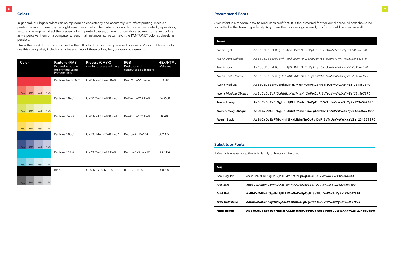# **Colors**

In general, our logo's colors can be reproduced consistently and accurately with offset printing. Because printing is an art, there may be slight variances in color. The material on which the color is printed (paper stock, texture, coating) will affect the precise color in printed pieces; different or uncalibrated monitors affect colors as we perceive them on a computer screen. In all instances, strive to match the PANTONE© color as closely as possible.

This is the breakdown of colors used in the full color logo for The Episcopal Diocese of Missouri. Please try to use this color pallet, including shades and tints of these colors, for your graphic elements.

# Recommend Fonts

Avenir font is a modern, easy-to-read, sans-serif font. It is the preferred font for our diocese. All text should be formatted in the Avenir type family. Anywhere the diocese logo is used, this font should be used as well.

| <b>Avenir Black</b>         | AaBbCcDdEeFfGgHhli.  |
|-----------------------------|----------------------|
| <b>Avenir Heavy Oblique</b> | AaBbCcDdEeFfGgHhliJ  |
| <b>Avenir Heavy</b>         | AaBbCcDdEeFfGgHhliJ  |
| Avenir Medium Oblique       | AaBbCcDdEeFfGgHhliJ  |
| Avenir Medium               | AaBbCcDdEeFfGgHhliJ  |
| Avenir Book Oblique         | AaBbCcDdEeFfGgHhliJ  |
| Avenir Book                 | AaBbCcDdEeFfGgHhliJj |
| Avenir Light Oblique        | AaBbCcDdEeFfGgHhliJ  |
| Avenir Light                | AaBbCcDdEeFfGgHhliJj |
| Avenir                      |                      |

*Avenir Light Oblique AaBbCcDdEeFfGgHhIiJjKkLlMmNnOoPpQqRrSsTtUuVvWwXxYyZz1234567890*

iKkLlMmNnOoPpQqRrSsTtUuVvWwXxYyZz1234567890

*Avenir Book Oblique AaBbCcDdEeFfGgHhIiJjKkLlMmNnOoPpQqRrSsTtUuVvWwXxYyZz1234567890*

IjKkLlMmNnOoPpQqRrSsTtUuVvWwXxYyZz1234567890

| Color |     |     |     | <b>Pantone (PMS)</b><br>Expensive option<br>for printing using<br>Pantone inks | <b>Process (CMYK)</b><br>4-color process printing | <b>RGB</b><br>Desktop and<br>computer applications | <b>HEX/HTML</b><br>Websites |
|-------|-----|-----|-----|--------------------------------------------------------------------------------|---------------------------------------------------|----------------------------------------------------|-----------------------------|
|       |     |     |     | Pantone Red 032C                                                               | $C=0$ M=90 Y=76 B=0                               | $R = 239$ G=51 B=64                                | EF3340                      |
| 75%   | 50% | 25% | 15% |                                                                                |                                                   |                                                    |                             |
|       |     |     |     | Pantone 382C                                                                   | $C = 22$ M=0 Y=100 K=0                            | $R = 196$ G=214 B=0                                | C4D600                      |
| 75%   | 50% | 25% | 15% |                                                                                |                                                   |                                                    |                             |
|       |     |     |     | Pantone 7406C                                                                  | $C=0$ M=13 Y=100 K=1                              | $R = 241$ G=196 B=0                                | F1C400                      |
| 75%   | 50% | 25% | 15% |                                                                                |                                                   |                                                    |                             |
|       |     |     |     | Pantone 288C                                                                   | $C = 100$ M = 79 Y = 0 K = 37                     | $R=0$ G=45 B=114                                   | 002D72                      |
| 75%   | 50% | 25% | 15% |                                                                                |                                                   |                                                    |                             |
|       |     |     |     | Pantone 3115C                                                                  | $C = 70$ M=0 Y=13 K=0                             | $R=0$ G=193 B=212                                  | 00C1D4                      |
| 75%   | 50% | 25% | 15% |                                                                                |                                                   |                                                    |                             |
|       |     |     |     | <b>Black</b>                                                                   | $C=0$ M=Y=0 K=100                                 | $R=0$ G=0 B=0                                      | 000000                      |
| 75%   | 50% | 25% | 15% |                                                                                |                                                   |                                                    |                             |

*Avenir Medium Oblique AaBbCcDdEeFfGgHhIiJjKkLlMmNnOoPpQqRrSsTtUuVvWwXxYyZz1234567890*

IjKkLlMmNnOoPpQqRrSsTtUuVvWwXxYyZz1234567890

*Avenir Heavy Oblique AaBbCcDdEeFfGgHhIiJjKkLlMmNnOoPpQqRrSsTtUuVvWwXxYyZz1234567890*

JjKkLlMmNnOoPpQqRrSsTtUuVvWwXxYyZz1234567890

mNnOoPpQqRrSsTtUuVvWwXxYyZz1234567890

# Substitute Fonts

If Avenir is unavailable, the Arial family of fonts can be used.

| <b>Arial Black</b>       | AaBbCcDdEeFfGgHhliJjKl     |
|--------------------------|----------------------------|
| <b>Arial Bold Italic</b> | AaBbCcDdEeFfGqHhliJjKkLll  |
| <b>Arial Bold</b>        | AaBbCcDdEeFfGqHhliJjKkLIN  |
| Arial Italic             | AaBbCcDdEeFfGqHhliJjKkLIMr |
| Arial Regular            | AaBbCcDdEeFfGqHhliJjKkLlMr |
| Arial                    |                            |

# iKkLlMmNnOoPpQqRrSsTtUuVvWwXxYyZz1234567890

*Arial Italic AaBbCcDdEeFfGgHhIiJjKkLlMmNnOoPpQqRrSsTtUuVvWwXxYyZz1234567890*

**Arial Bold AaBbCcDdEeFfGgHhIiJjKkLlMmNnOoPpQqRrSsTtUuVvWwXxYyZz1234567890**

*Arial Bold Italic AaBbCcDdEeFfGgHhIiJjKkLlMmNnOoPpQqRrSsTtUuVvWwXxYyZz1234567890*

kLlMmNnOoPpQqRrSsTtUuVvWwXxYyZz1234567890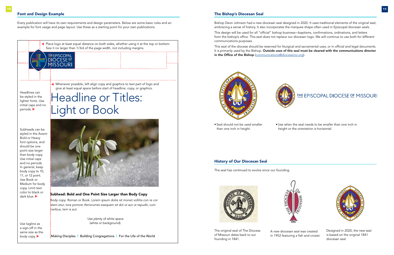# Font and Design Example

<u>THE</u> EPISCOPAL <u>DIOCESE 약</u> MISSOURI

Every publication will have its own requirements and design parameters. Below are some basic rules and an example for font usage and page layout. Use these as a starting point for your own publications.

Headline or Titles:

Light or Book

# Subhead: Bold and One Point Size Larger than Body Copy

Subheads can be styled in the Avenir Bold or Heavy font options, and should be one point size larger than body copy. Use initial caps and no periods. In general, keep body copy to 10, 11, or 12 point. Use Book or Medium for body copy. Limit text color to black or dark blue.

Body copy: Roman or Book. Lorem ipsum dolre sit monet vollitis con re cor atem etur, tore porrore rferiorumet esequam sit dol ut aut ut repudit, cum haribus, tem is aut.

Size it no larger than 1/3rd of the page width, not including margins.

Place logo at least equal distance on both sides, whether using it at the top or bottom.

Headlines can be styled in the lighter fonts. Use initial caps and no

periods.

This seal of the diocese should be reserved for liturgical and sacramental uses, or in official and legal documents. It is primarily used by the Bishop. Outside uses of this seal must be cleared with the communications director in the Office of the Bishop ([communications@diocesemo.org\)](mailto:communications%40diocesemo.org?subject=).





Use tagline as a sign-off in the same size as the body copy.



Whenever possible, left align copy and graphics to text part of logo and give at least equal space before start of headline, copy, or graphics.

# The Bishop's Diocesan Seal

Bishop Deon Johnson had a new diocesan seal designed in 2020. It uses traditional elements of the original seal, embracing a sense of history. It also incorporates the marquee shape often used in Episcopal diocesan seals.

This design will be used for all "official" bishop business—baptisms, confirmations, ordinations, and letters from the bishop's office. This seal does not replace our diocesan logo. We will continue to use both for different communications purposes.

• Seal should not be used smaller than one inch in height.

• Use when the seal needs to be smaller than one inch in height or the orientation is horizontal.

# History of Our Diocesan Seal

The seal has continued to evolve since our founding.



The original seal of The Diocese of Missouri dates back to our founding in 1841.

A new diocesan seal was created in 1952 featuring a fish and crozier.

 $\overline{\phantom{a}}$ 







Designed in 2020, the new seal is based on the original 1841 diocesan seal.

Use plenty of white space (white or background).

Making Disciples | Building Congregations | For the Life of the World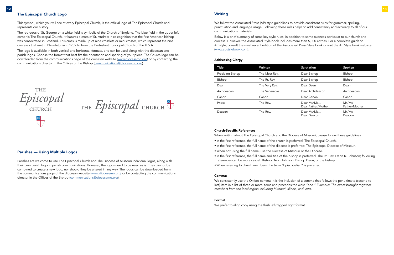# The Episcopal Church Logo

This symbol, which you will see at every Episcopal Church, is the official logo of The Episcopal Church and represents our history.

The red cross of St. George on a white field is symbolic of the Church of England. The blue field in the upper left corner is The Episcopal Church. It features a cross of St. Andrew in re-cognition that the first American bishop was consecrated in Scotland. This cross is made up of nine crosslets or mini crosses, which represent the nine dioceses that met in Philadelphia in 1789 to form the Protestant Episcopal Church of the U.S.A.

Parishes are welcome to use The Episcopal Church and The Diocese of Missouri individual logos, along with their own parish logo in parish communications. However, the logos need to be used as is. They cannot be combined to create a new logo, nor should they be altered in any way. The logos can be downloaded from the communications page of the diocesan website ([www.diocesemo.org\)](http://www.diocesemo.org) or by contacting the communications director in the Offices of the Bishop ([communications@diocesemo.org](mailto:communications%40diocesemo.org?subject=)).

# **Writing**

The logo is available in both vertical and horizontal formats, and can be used along with the diocesan and parish logos. Choose the format that best fits the orientation and spacing of your piece. The Church logo can be downloaded from the communications page of the diocesan website [\(www.diocesemo.org](http://www.diocesemo.org)) or by contacting the communications director in the Offices of the Bishop ([communications@diocesemo.org\)](mailto:communications%40diocesemo.org?subject=).

**THE** Episcopal CHURCH

THE Episcopal CHURCH

# Parishes — Using Multiple Logos

We follow the Associated Press (AP) style guidelines to provide consistent rules for grammar, spelling, punctuation and language usage. Following these rules helps to add consistency and accuracy to all of our communications materials.

Below is a brief summary of some key style rules, in addition to some nuances particular to our church and diocese. However, the Associated Style book includes more than 5,000 entries. For a complete guide to AP style, consult the most recent edition of the Associated Press Style book or visit the AP Style book website ([www.apstylebook.com\)](http://www.apstylebook.com).

#### Addressing Clergy

| Title            | Written       | Salutation                        | Spoken                  |
|------------------|---------------|-----------------------------------|-------------------------|
| Presiding Bishop | The Most Rev. | Dear Bishop                       | Bishop                  |
| Bishop           | The Rt. Rev.  | Dear Bishop                       | Bishop                  |
| Dean             | The Very Rev. | Dear Dean                         | Dean                    |
| Archdeacon       | The Venerable | Dear Archdeacon                   | Archdeacon              |
| Canon            | Canon         | Dear Canon                        | Canon                   |
| Priest           | The Rev.      | Dear Mr./Ms<br>Dear Father/Mother | Mr.Ms.<br>Father/Mother |
| Deacon           | The Rev.      | Dear Mr./Ms<br>Dear Deacon        | Mr./Ms.<br>Deacon       |

#### Church-Specific References

When writing about The Episcopal Church and the Diocese of Missouri, please follow these guidelines:

- In the first reference, the full name of the church is preferred: The Episcopal Church.
- In the first reference, the full name of the diocese is preferred: The Episcopal Diocese of Missouri.
- When not using the full name, use the Diocese of Missouri or the Diocese.
- references can be more casual: Bishop Deon Johnson, Bishop Deon, or the bishop.
- When referring to church members, the term "Episcopalian" is preferred.

• In the first reference, the full name and title of the bishop is preferred: The Rt. Rev. Deon K. Johnson; following

#### Commas

We consistently use the Oxford comma. It is the inclusion of a comma that follows the penultimate (second to last) item in a list of three or more items and precedes the word "and." Example: *The event brought together members from the local region including Missouri, Illinois, and Iowa.*

#### Format

We prefer to align copy using the flush left/ragged right format.